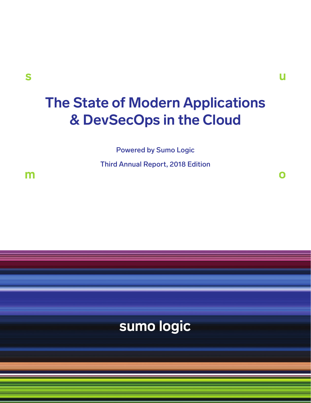$\mathbf \Omega$ 

# **The State of Modern Applications & DevSecOps in the Cloud**

Powered by Sumo Logic

Third Annual Report, 2018 Edition

m

# sumo logic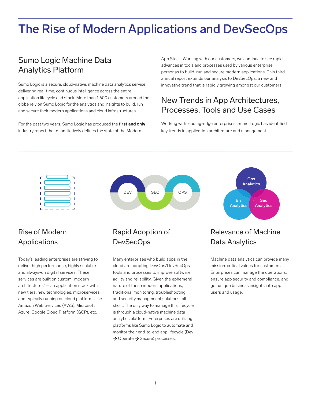# The Rise of Modern Applications and DevSecOps

## Sumo Logic Machine Data Analytics Platform

Sumo Logic is a secure, cloud-native, machine data analytics service, delivering real-time, continuous intelligence across the entire application lifecycle and stack. More than 1,600 customers around the globe rely on Sumo Logic for the analytics and insights to build, run and secure their modern applications and cloud infrastructures.

For the past two years, Sumo Logic has produced the **first and only** industry report that quantitatively defines the state of the Modern

App Stack. Working with our customers, we continue to see rapid advances in tools and processes used by various enterprise personas to build, run and secure modern applications. This third annual report extends our analysis to DevSecOps, a new and innovative trend that is rapidly growing amongst our customers.

## New Trends in App Architectures, Processes, Tools and Use Cases

Working with leading-edge enterprises, Sumo Logic has identified key trends in application architecture and management.



# DEV SEC OPS

## Rise of Modern Applications

Today's leading enterprises are striving to deliver high performance, highly scalable and always-on digital services. These services are built on custom "modern architectures" – an application stack with new tiers, new technologies, microservices and typically running on cloud platforms like Amazon Web Services (AWS), Microsoft Azure, Google Cloud Platform (GCP), etc.

## Rapid Adoption of DevSecOps

Many enterprises who build apps in the cloud are adopting DevOps/DevSecOps tools and processes to improve software agility and reliability. Given the ephemeral nature of these modern applications, traditional monitoring, troubleshooting and security management solutions fall short. The only way to manage this lifecycle is through a cloud-native machine data analytics platform. Enterprises are utilizing platforms like Sumo Logic to automate and monitor their end-to-end app lifecycle (Dev  $\rightarrow$  Operate  $\rightarrow$  Secure) processes.



## Relevance of Machine Data Analytics

Machine data analytics can provide many mission-critical values for customers. Enterprises can manage the operations, ensure app security and compliance, and get unique business insights into app users and usage.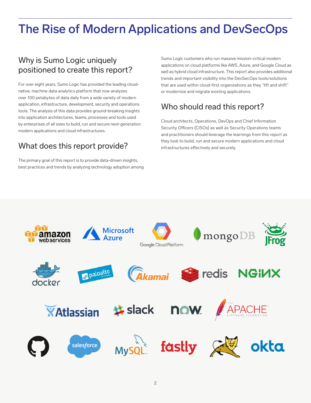# The Rise of Modern Applications and DevSecOps

## Why is Sumo Logic uniquely positioned to create this report?

For over eight years, Sumo Logic has provided the leading cloudnative, machine data analytics platform that now analyzes over 100 petabytes of data daily from a wide variety of modern application, infrastructure, development, security and operations tools. The analysis of this data provides ground-breaking insights into application architectures, teams, processes and tools used by enterprises of all sizes to build, run and secure next-generation modern applications and cloud infrastructures.

## What does this report provide?

The primary goal of this report is to provide data-driven insights, best practices and trends by analyzing technology adoption among

Sumo Logic customers who run massive mission-critical modern applications on cloud platforms like AWS, Azure, and Google Cloud as well as hybrid cloud infrastructure. This report also provides additional trends and important visibility into the DevSecOps tools/solutions that are used within cloud-first organizations as they "lift and shift" or modernize and migrate existing applications.

## Who should read this report?

Cloud architects, Operations, DevOps and Chief Information Security Officers (CISOs) as well as Security Operations teams and practitioners should leverage the learnings from this report as they look to build, run and secure modern applications and cloud infrastructures effectively and securely.

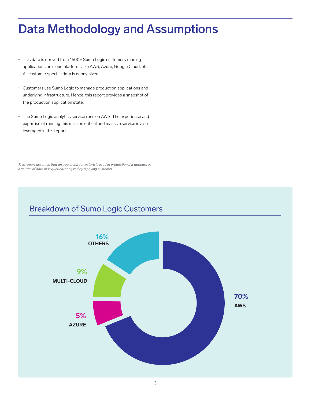# Data Methodology and Assumptions

- This data is derived from 1600+ Sumo Logic customers running applications on cloud platforms like AWS, Azure, Google Cloud, etc. All customer specific data is anonymized.
- Customers use Sumo Logic to manage production applications and underlying infrastructure. Hence, this report provides a snapshot of the production application state.
- The Sumo Logic analytics service runs on AWS. The experience and expertise of running this mission critical and massive service is also leveraged in this report.

*This report assumes that an app or infrastructure is used in production if it appears as a source of data or is queried/analyzed by a paying customer.*

## Breakdown of Sumo Logic Customers

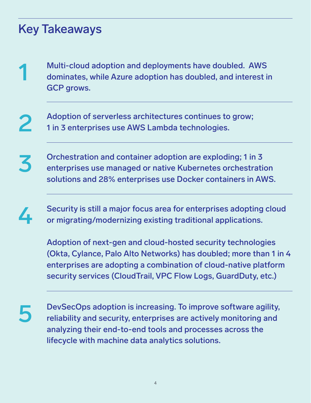# Key Takeaways

- Multi-cloud adoption and deployments have doubled. AWS dominates, while Azure adoption has doubled, and interest in GCP grows. 1
- Adoption of serverless architectures continues to grow; 1 in 3 enterprises use AWS Lambda technologies. 2
- Orchestration and container adoption are exploding; 1 in 3 enterprises use managed or native Kubernetes orchestration solutions and 28% enterprises use Docker containers in AWS. 3
- Security is still a major focus area for enterprises adopting cloud or migrating/modernizing existing traditional applications. 4
	- Adoption of next-gen and cloud-hosted security technologies (Okta, Cylance, Palo Alto Networks) has doubled; more than 1 in 4 enterprises are adopting a combination of cloud-native platform security services (CloudTrail, VPC Flow Logs, GuardDuty, etc.)
- 5

DevSecOps adoption is increasing. To improve software agility, reliability and security, enterprises are actively monitoring and analyzing their end-to-end tools and processes across the lifecycle with machine data analytics solutions.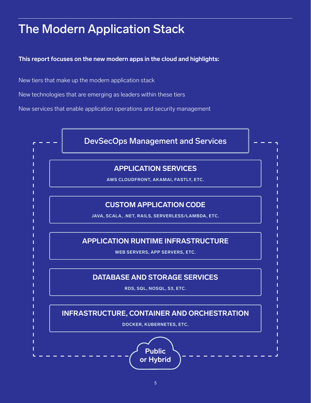# The Modern Application Stack

**This report focuses on the new modern apps in the cloud and highlights:** 

New tiers that make up the modern application stack

New technologies that are emerging as leaders within these tiers

New services that enable application operations and security management

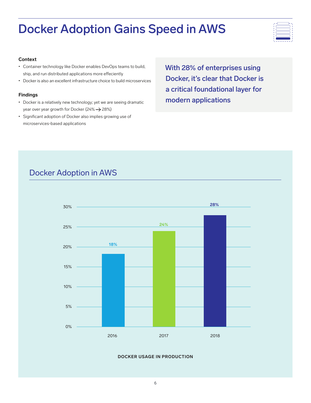# Docker Adoption Gains Speed in AWS



#### **Context**

- Container technology like Docker enables DevOps teams to build, ship, and run distributed applications more effeciently
- Docker is also an excellent infrastructure choice to build microservices

#### **Findings**

- Docker is a relatively new technology; yet we are seeing dramatic year over year growth for Docker (24%  $\rightarrow$  28%)
- Significant adoption of Docker also implies growing use of microservices-based applications

With 28% of enterprises using Docker, it's clear that Docker is a critical foundational layer for modern applications

## Docker Adoption in AWS



#### **DOCKER USAGE IN PRODUCTION**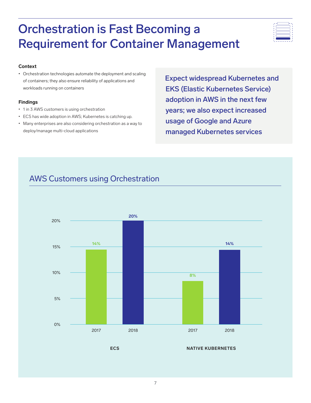# Orchestration is Fast Becoming a Requirement for Container Management

## **Context**

• Orchestration technologies automate the deployment and scaling of containers; they also ensure reliability of applications and workloads running on containers

## **Findings**

- 1 in 3 AWS customers is using orchestration
- ECS has wide adoption in AWS; Kubernetes is catching up.
- Many enterprises are also considering orchestration as a way to deploy/manage multi-cloud applications

Expect widespread Kubernetes and EKS (Elastic Kubernetes Service) adoption in AWS in the next few years; we also expect increased usage of Google and Azure managed Kubernetes services

## AWS Customers using Orchestration



**ECS NATIVE KUBERNETES**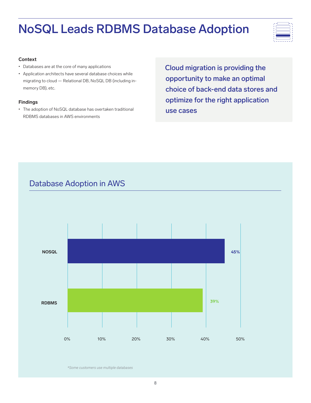# NoSQL Leads RDBMS Database Adoption



#### **Context**

- Databases are at the core of many applications
- Application architects have several database choices while migrating to cloud — Relational DB, NoSQL DB (including inmemory DB), etc.

## **Findings**

• The adoption of NoSQL database has overtaken traditional RDBMS databases in AWS environments

Cloud migration is providing the opportunity to make an optimal choice of back-end data stores and optimize for the right application use cases

# Database Adoption in AWS **NOSQL RDBMS** 0% 10% 20% 30% 40% 50% **45% 39%**

*\*Some customers use multiple databases*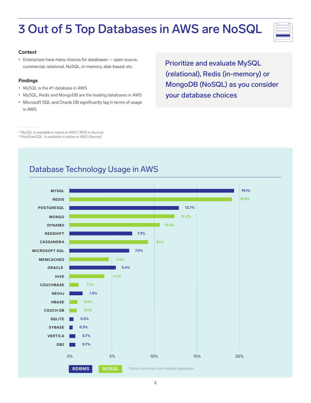# 3 Out of 5 Top Databases in AWS are NoSQL



#### **Context**

• Enterprises have many choices for databases — open source, commercial, relational, NoSQL, in-memory, disk-based, etc.

#### **Findings**

- MySQL is the #1 database in AWS
- MySQL, Redis and MongoDB are the leading databases in AWS
- Microsoft SQL and Oracle DB significantly lag in terms of usage in AWS

Prioritize and evaluate MySQL (relational), Redis (in-memory) or MongoDB (NoSQL) as you consider your database choices

*\* MySQL is available in native or AWS ( RDS or Aurora)*

*\* PostGresSQL is available in native or AWS (Aurora)*

## Database Technology Usage in AWS

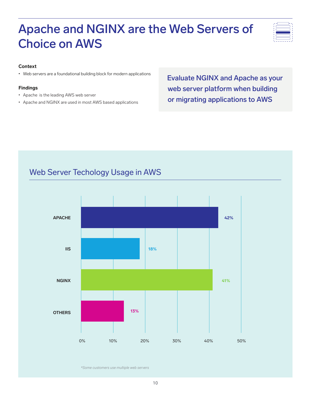# Apache and NGINX are the Web Servers of Choice on AWS



### **Context**

• Web servers are a foundational building block for modern applications

### **Findings**

- Apache is the leading AWS web server
- Apache and NGINX are used in most AWS based applications

Evaluate NGINX and Apache as your web server platform when building or migrating applications to AWS

## Web Server Techology Usage in AWS



*\*Some customers use multiple web servers*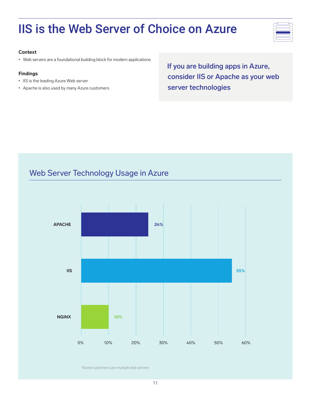# IIS is the Web Server of Choice on Azure



#### **Context**

• Web servers are a foundational building block for modern applications

#### **Findings**

- IIS is the leading Azure Web server
- Apache is also used by many Azure customers

If you are building apps in Azure, consider IIS or Apache as your web server technologies

## Web Server Technology Usage in Azure



*\*Some customers use multiple web servers*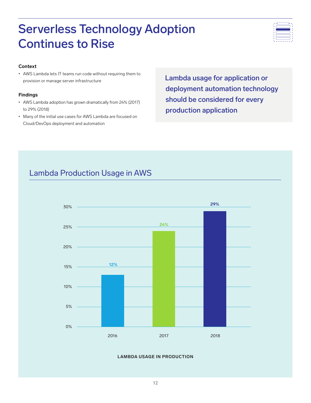# Serverless Technology Adoption Continues to Rise



#### **Context**

• AWS Lambda lets IT teams run code without requiring them to provision or manage server infrastructure

#### **Findings**

- AWS Lambda adoption has grown dramatically from 24% (2017) to 29% (2018)
- Many of the initial use cases for AWS Lambda are focused on Cloud/DevOps deployment and automation

Lambda usage for application or deployment automation technology should be considered for every production application

## Lambda Production Usage in AWS



#### **LAMBDA USAGE IN PRODUCTION**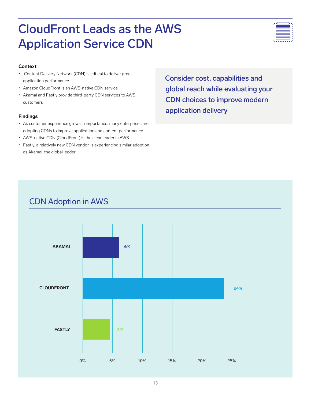# CloudFront Leads as the AWS Application Service CDN



### **Context**

- Content Delivery Network (CDN) is critical to deliver great application performance
- Amazon CloudFront is an AWS-native CDN service
- Akamai and Fastly provide third-party CDN services to AWS customers

#### **Findings**

- As customer experience grows in importance, many enterprises are adopting CDNs to improve application and content performance
- AWS-native CDN (CloudFront) is the clear leader in AWS
- Fastly, a relatively new CDN vendor, is experiencing similar adoption as Akamai, the global leader

Consider cost, capabilities and global reach while evaluating your CDN choices to improve modern application delivery

## CDN Adoption in AWS

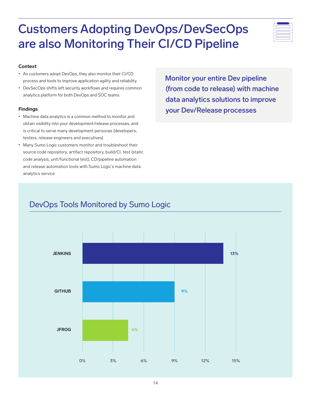## **Context**

- As customers adopt DevOps, they also monitor their CI/CD process and tools to improve application agility and reliability
- DevSecOps shifts left security workflows and requires common analytics platform for both DevOps and SOC teams

## **Findings**

- Machine data analytics is a common method to monitor and obtain visibility into your development/release processes, and is critical to serve many development personas (developers, testers, release engineers and executives)
- Many Sumo Logic customers monitor and troubleshoot their source code repository, artifact repository, build/CI, test (static code analysis, unit/functional test), CD/pipeline automation and release automation tools with Sumo Logic's machine data analytics service

Monitor your entire Dev pipeline (from code to release) with machine data analytics solutions to improve your Dev/Release processes

## DevOps Tools Monitored by Sumo Logic

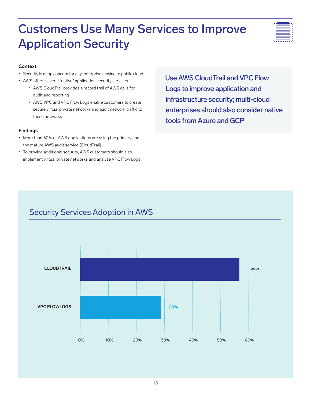# Customers Use Many Services to Improve Application Security



### **Context**

- Security is a top concern for any enterprise moving to public cloud
- AWS offers several "native" application security services
	- AWS CloudTrail provides a record trail of AWS calls for audit and reporting
	- AWS VPC and VPC Flow Logs enable customers to create secure virtual private networks and audit network traffic to these networks

#### **Findings**

- More than 50% of AWS applications are using the primary and the mature AWS audit service (CloudTrail)
- To provide additional security, AWS customers should also implement virtual private networks and analyze VPC Flow Logs

Use AWS CloudTrail and VPC Flow Logs to improve application and infrastructure security; multi-cloud enterprises should also consider native tools from Azure and GCP

## Security Services Adoption in AWS

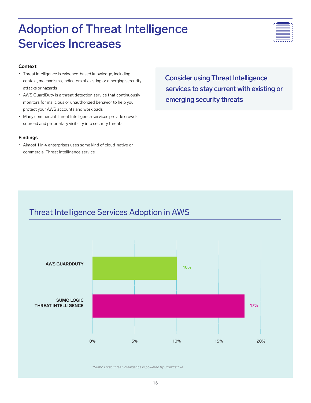# Adoption of Threat Intelligence Services Increases



#### **Context**

- Threat intelligence is evidence-based knowledge, including context, mechanisms, indicators of existing or emerging sercurity attacks or hazards
- AWS GuardDuty is a threat detection service that continuously monitors for malicious or unauthorized behavior to help you protect your AWS accounts and workloads
- Many commercial Threat Intelligence services provide crowdsourced and proprietary visibility into security threats

#### **Findings**

• Almost 1 in 4 enterprises uses some kind of cloud-native or commercial Threat Intelligence service

Consider using Threat Intelligence services to stay current with existing or emerging security threats

## Threat Intelligence Services Adoption in AWS



*\*Sumo Logic threat intelligence is powered by Crowdstrike*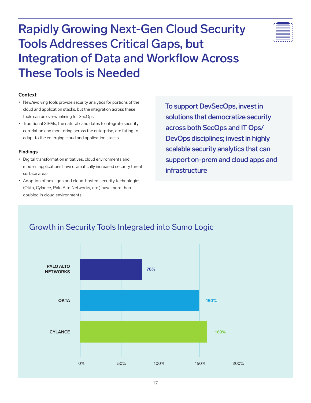Rapidly Growing Next-Gen Cloud Security Tools Addresses Critical Gaps, but Integration of Data and Workflow Across These Tools is Needed



#### **Context**

- New/evolving tools provide security analytics for portions of the cloud and application stacks, but the integration across these tools can be overwhelming for SecOps
- Traditional SIEMs, the natural candidates to integrate security correlation and monitoring across the enterprise, are failing to adapt to the emerging cloud and application stacks

#### **Findings**

- Digital transformation initiatives, cloud environments and modern applications have dramatically increased security threat surface areas
- Adoption of next-gen and cloud-hosted security technologies (Okta, Cylance, Palo Alto Networks, etc.) have more than doubled in cloud environments

To support DevSecOps, invest in solutions that democratize security across both SecOps and IT Ops/ DevOps disciplines; invest in highly scalable security analytics that can support on-prem and cloud apps and infrastructure



## Growth in Security Tools Integrated into Sumo Logic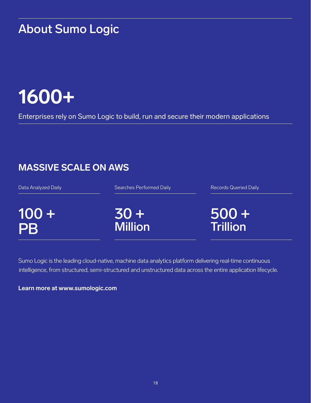# About Sumo Logic

# **1600+**

Enterprises rely on Sumo Logic to build, run and secure their modern applications

## **MASSIVE SCALE ON AWS**

Data Analyzed Daily

Searches Performed Daily

 $100 +$ PB

30 + Million Records Queried Daily

500 + **Trillion** 

Sumo Logic is the leading cloud-native, machine data analytics platform delivering real-time continuous intelligence, from structured, semi-structured and unstructured data across the entire application lifecycle.

## **Learn more at www.sumologic.com**